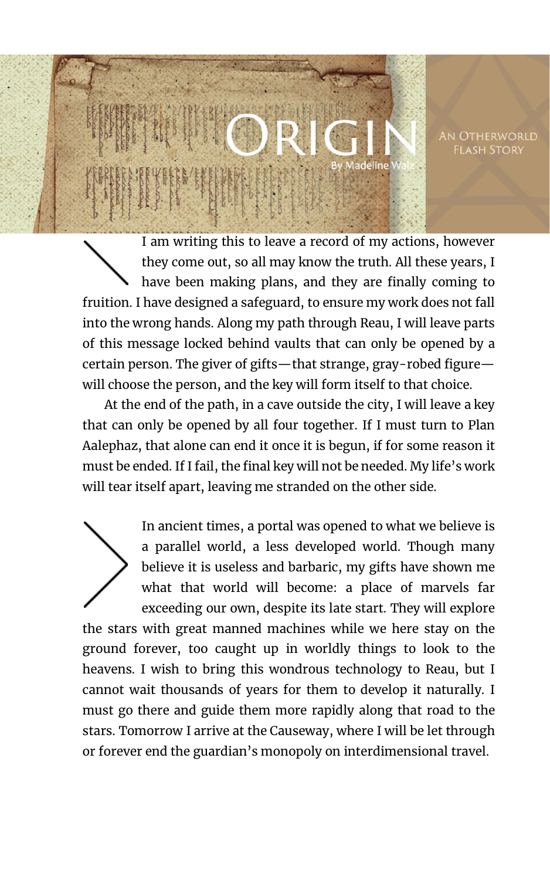An Otherworld **FLASH STORY** 

I am writing this to leave a record of my actions, however they come out, so all may know the truth. All these years, I have been making plans, and they are finally coming to fruition. I have designed a safeguard, to ensure my work does not fall into the wrong hands. Along my path through Reau, I will leave parts of this message locked behind vaults that can only be opened by a certain person. The giver of gifts—that strange, gray-robed figure will choose the person, and the key will form itself to that choice.

adeline

At the end of the path, in a cave outside the city, I will leave a key that can only be opened by all four together. If I must turn to Plan Aalephaz, that alone can end it once it is begun, if for some reason it must be ended. If I fail, the final key will not be needed. My life's work will tear itself apart, leaving me stranded on the other side.

In ancient times, a portal was opened to what we believe is a parallel world, a less developed world. Though many believe it is useless and barbaric, my gifts have shown me what that world will become: a place of marvels far exceeding our own, despite its late start. They will explore the stars with great manned machines while we here stay on the ground forever, too caught up in worldly things to look to the heavens. I wish to bring this wondrous technology to Reau, but I cannot wait thousands of years for them to develop it naturally. I must go there and guide them more rapidly along that road to the stars. Tomorrow I arrive at the Causeway, where I will be let through or forever end the guardian's monopoly on interdimensional travel.